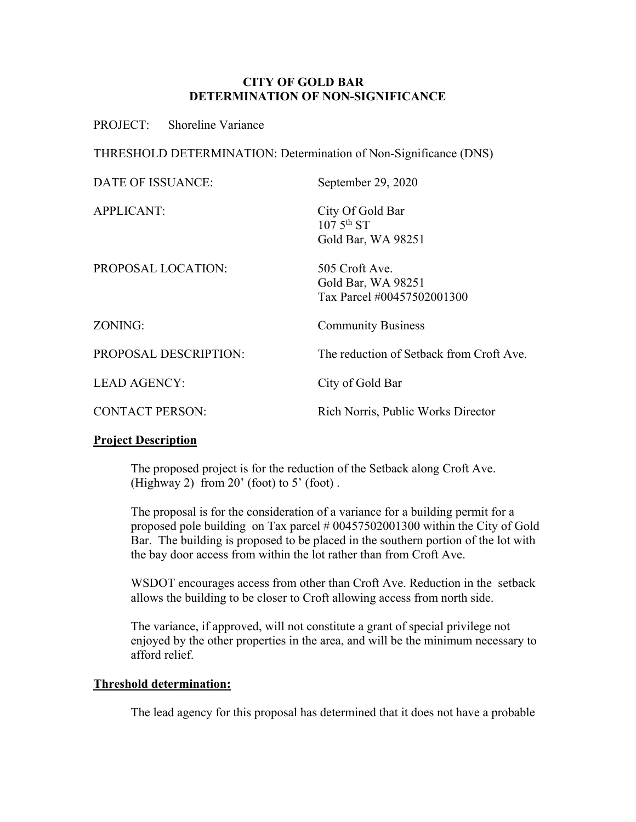#### **CITY OF GOLD BAR DETERMINATION OF NON-SIGNIFICANCE**

PROJECT: Shoreline Variance

THRESHOLD DETERMINATION: Determination of Non-Significance (DNS)

| <b>DATE OF ISSUANCE:</b> | September 29, 2020                                                 |
|--------------------------|--------------------------------------------------------------------|
| <b>APPLICANT:</b>        | City Of Gold Bar<br>$107.5^{\text{th}}$ ST<br>Gold Bar, WA 98251   |
| PROPOSAL LOCATION:       | 505 Croft Ave.<br>Gold Bar, WA 98251<br>Tax Parcel #00457502001300 |
| ZONING:                  | <b>Community Business</b>                                          |
| PROPOSAL DESCRIPTION:    | The reduction of Setback from Croft Ave.                           |
| <b>LEAD AGENCY:</b>      | City of Gold Bar                                                   |
| <b>CONTACT PERSON:</b>   | Rich Norris, Public Works Director                                 |

#### **Project Description**

The proposed project is for the reduction of the Setback along Croft Ave. (Highway 2) from  $20'$  (foot) to  $5'$  (foot).

The proposal is for the consideration of a variance for a building permit for a proposed pole building on Tax parcel # 00457502001300 within the City of Gold Bar. The building is proposed to be placed in the southern portion of the lot with the bay door access from within the lot rather than from Croft Ave.

WSDOT encourages access from other than Croft Ave. Reduction in the setback allows the building to be closer to Croft allowing access from north side.

The variance, if approved, will not constitute a grant of special privilege not enjoyed by the other properties in the area, and will be the minimum necessary to afford relief.

#### **Threshold determination:**

The lead agency for this proposal has determined that it does not have a probable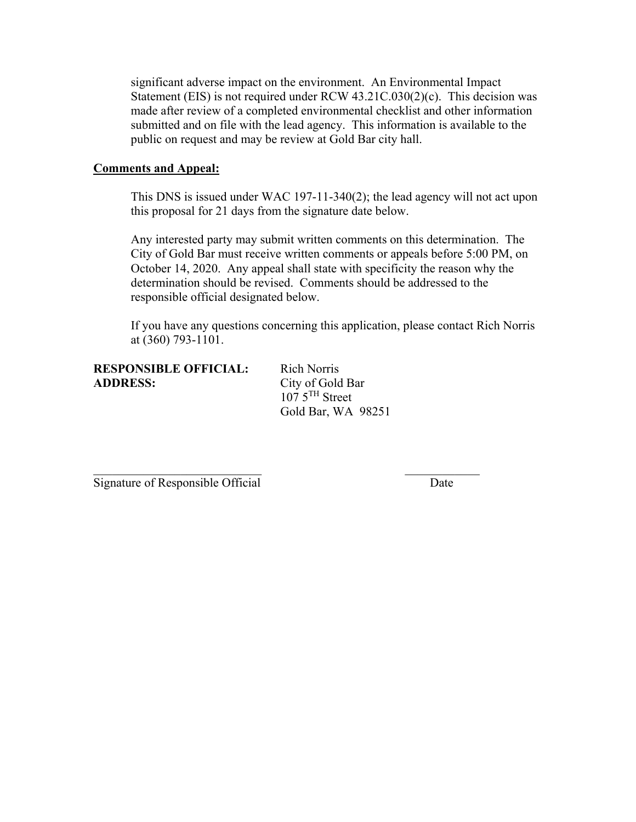significant adverse impact on the environment. An Environmental Impact Statement (EIS) is not required under RCW 43.21C.030(2)(c). This decision was made after review of a completed environmental checklist and other information submitted and on file with the lead agency. This information is available to the public on request and may be review at Gold Bar city hall.

#### **Comments and Appeal:**

This DNS is issued under WAC 197-11-340(2); the lead agency will not act upon this proposal for 21 days from the signature date below.

Any interested party may submit written comments on this determination. The City of Gold Bar must receive written comments or appeals before 5:00 PM, on October 14, 2020. Any appeal shall state with specificity the reason why the determination should be revised. Comments should be addressed to the responsible official designated below.

If you have any questions concerning this application, please contact Rich Norris at (360) 793-1101.

#### **RESPONSIBLE OFFICIAL:** Rich Norris **ADDRESS:** City of Gold Bar

 $1075$ <sup>TH</sup> Street Gold Bar, WA 98251

 $\mathcal{L}_\mathcal{L} = \mathcal{L}_\mathcal{L} = \mathcal{L}_\mathcal{L} = \mathcal{L}_\mathcal{L} = \mathcal{L}_\mathcal{L} = \mathcal{L}_\mathcal{L} = \mathcal{L}_\mathcal{L} = \mathcal{L}_\mathcal{L} = \mathcal{L}_\mathcal{L} = \mathcal{L}_\mathcal{L} = \mathcal{L}_\mathcal{L} = \mathcal{L}_\mathcal{L} = \mathcal{L}_\mathcal{L} = \mathcal{L}_\mathcal{L} = \mathcal{L}_\mathcal{L} = \mathcal{L}_\mathcal{L} = \mathcal{L}_\mathcal{L}$ 

Signature of Responsible Official Date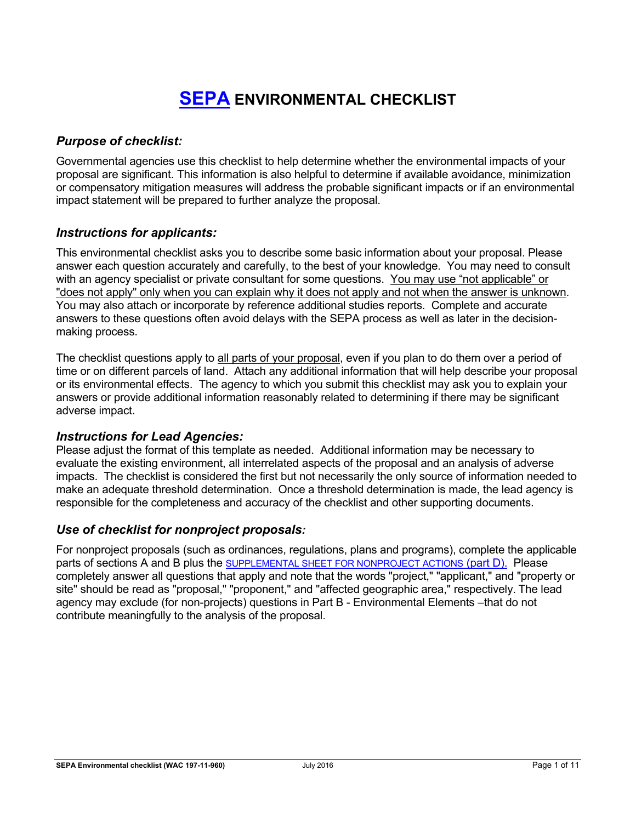# **SEPA ENVIRONMENTAL CHECKLIST**

# *Purpose of checklist:*

Governmental agencies use this checklist to help determine whether the environmental impacts of your proposal are significant. This information is also helpful to determine if available avoidance, minimization or compensatory mitigation measures will address the probable significant impacts or if an environmental impact statement will be prepared to further analyze the proposal.

# *Instructions for applicants:*

This environmental checklist asks you to describe some basic information about your proposal. Please answer each question accurately and carefully, to the best of your knowledge. You may need to consult with an agency specialist or private consultant for some questions. You may use "not applicable" or "does not apply" only when you can explain why it does not apply and not when the answer is unknown. You may also attach or incorporate by reference additional studies reports. Complete and accurate answers to these questions often avoid delays with the SEPA process as well as later in the decisionmaking process.

The checklist questions apply to all parts of your proposal, even if you plan to do them over a period of time or on different parcels of land. Attach any additional information that will help describe your proposal or its environmental effects. The agency to which you submit this checklist may ask you to explain your answers or provide additional information reasonably related to determining if there may be significant adverse impact.

# *Instructions for Lead Agencies:*

Please adjust the format of this template as needed. Additional information may be necessary to evaluate the existing environment, all interrelated aspects of the proposal and an analysis of adverse impacts. The checklist is considered the first but not necessarily the only source of information needed to make an adequate threshold determination. Once a threshold determination is made, the lead agency is responsible for the completeness and accuracy of the checklist and other supporting documents.

# *Use of checklist for nonproject proposals:*

For nonproject proposals (such as ordinances, regulations, plans and programs), complete the applicable parts of sections A and B plus the SUPPLEMENTAL SHEET FOR NONPROJECT ACTIONS (part D). Please completely answer all questions that apply and note that the words "project," "applicant," and "property or site" should be read as "proposal," "proponent," and "affected geographic area," respectively. The lead agency may exclude (for non-projects) questions in Part B - Environmental Elements –that do not contribute meaningfully to the analysis of the proposal.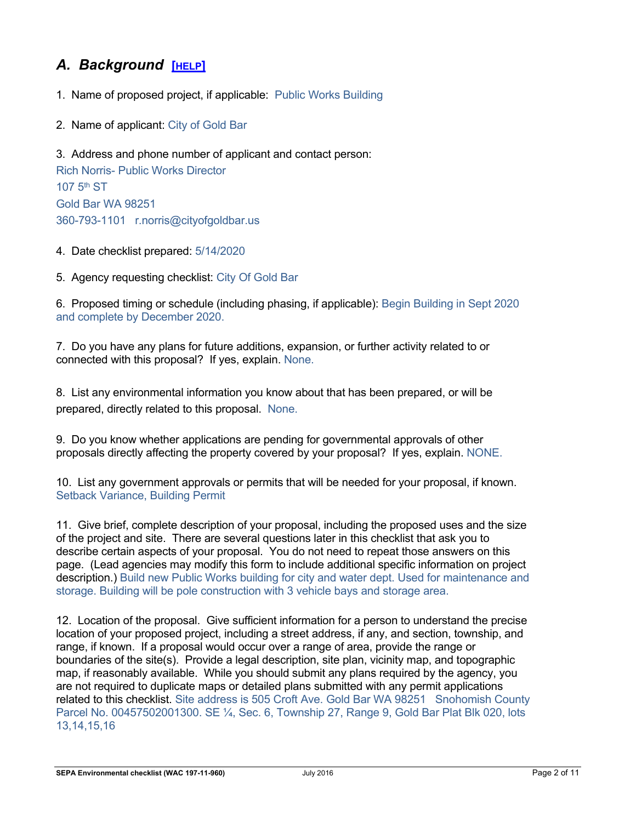# *A. Background* **[HELP]**

- 1. Name of proposed project, if applicable: Public Works Building
- 2. Name of applicant: City of Gold Bar

3. Address and phone number of applicant and contact person: Rich Norris- Public Works Director 107 5th ST Gold Bar WA 98251 360-793-1101 r.norris@cityofgoldbar.us

- 4. Date checklist prepared: 5/14/2020
- 5. Agency requesting checklist: City Of Gold Bar

6. Proposed timing or schedule (including phasing, if applicable): Begin Building in Sept 2020 and complete by December 2020.

7. Do you have any plans for future additions, expansion, or further activity related to or connected with this proposal? If yes, explain. None.

8. List any environmental information you know about that has been prepared, or will be prepared, directly related to this proposal. None.

9. Do you know whether applications are pending for governmental approvals of other proposals directly affecting the property covered by your proposal? If yes, explain. NONE.

10. List any government approvals or permits that will be needed for your proposal, if known. Setback Variance, Building Permit

11. Give brief, complete description of your proposal, including the proposed uses and the size of the project and site. There are several questions later in this checklist that ask you to describe certain aspects of your proposal. You do not need to repeat those answers on this page. (Lead agencies may modify this form to include additional specific information on project description.) Build new Public Works building for city and water dept. Used for maintenance and storage. Building will be pole construction with 3 vehicle bays and storage area.

12. Location of the proposal. Give sufficient information for a person to understand the precise location of your proposed project, including a street address, if any, and section, township, and range, if known. If a proposal would occur over a range of area, provide the range or boundaries of the site(s). Provide a legal description, site plan, vicinity map, and topographic map, if reasonably available. While you should submit any plans required by the agency, you are not required to duplicate maps or detailed plans submitted with any permit applications related to this checklist. Site address is 505 Croft Ave. Gold Bar WA 98251 Snohomish County Parcel No. 00457502001300. SE ¼, Sec. 6, Township 27, Range 9, Gold Bar Plat Blk 020, lots 13,14,15,16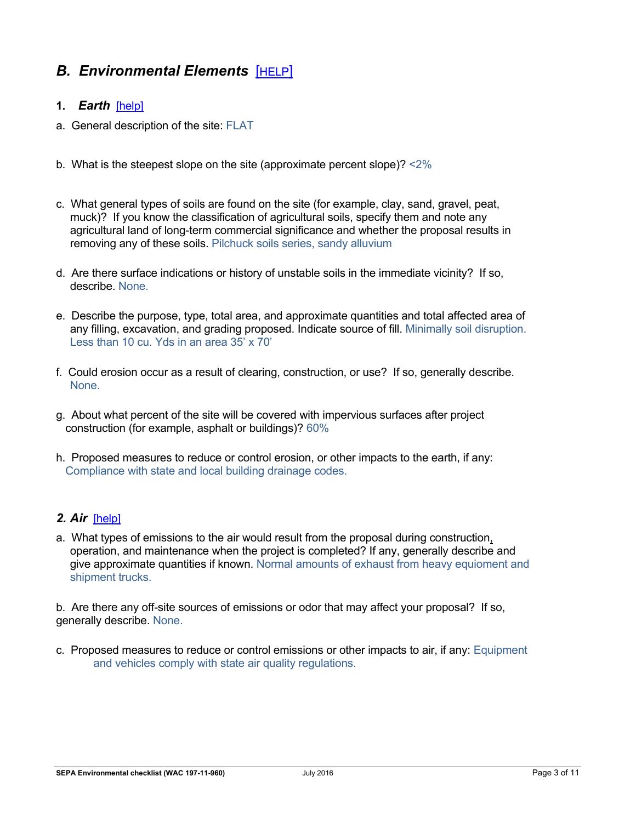# **B. Environmental Elements [HELP]**

#### **1.** *Earth*[help]

- a. General description of the site: FLAT
- b. What is the steepest slope on the site (approximate percent slope)? <2%
- c. What general types of soils are found on the site (for example, clay, sand, gravel, peat, muck)? If you know the classification of agricultural soils, specify them and note any agricultural land of long-term commercial significance and whether the proposal results in removing any of these soils. Pilchuck soils series, sandy alluvium
- d. Are there surface indications or history of unstable soils in the immediate vicinity? If so, describe. None.
- e. Describe the purpose, type, total area, and approximate quantities and total affected area of any filling, excavation, and grading proposed. Indicate source of fill. Minimally soil disruption. Less than 10 cu. Yds in an area 35' x 70'
- f. Could erosion occur as a result of clearing, construction, or use? If so, generally describe. None.
- g. About what percent of the site will be covered with impervious surfaces after project construction (for example, asphalt or buildings)? 60%
- h. Proposed measures to reduce or control erosion, or other impacts to the earth, if any: Compliance with state and local building drainage codes.

# *2. Air*[help]

a. What types of emissions to the air would result from the proposal during construction, operation, and maintenance when the project is completed? If any, generally describe and give approximate quantities if known. Normal amounts of exhaust from heavy equioment and shipment trucks.

b. Are there any off-site sources of emissions or odor that may affect your proposal? If so, generally describe. None.

c. Proposed measures to reduce or control emissions or other impacts to air, if any: Equipment and vehicles comply with state air quality regulations.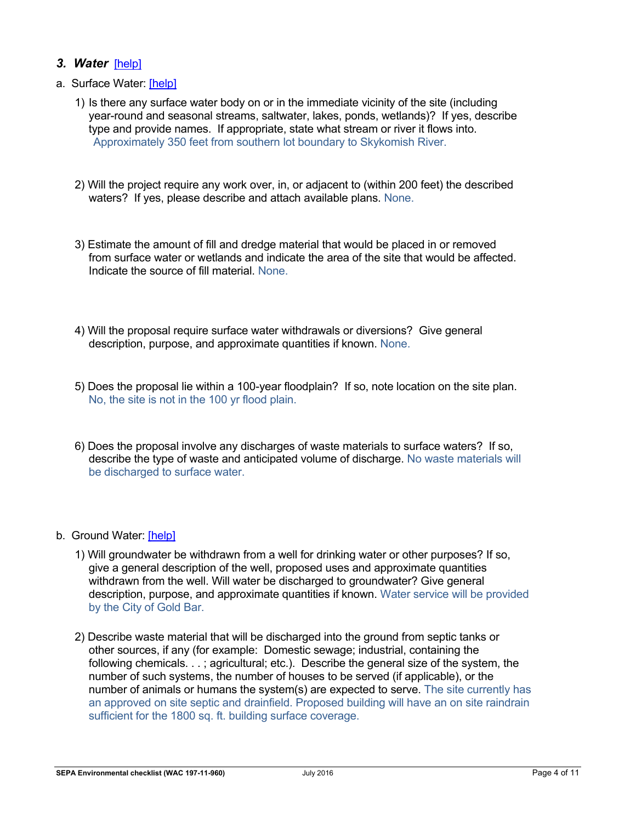#### *3. Water*[help]

- a. Surface Water: [help]
	- 1) Is there any surface water body on or in the immediate vicinity of the site (including year-round and seasonal streams, saltwater, lakes, ponds, wetlands)? If yes, describe type and provide names. If appropriate, state what stream or river it flows into. Approximately 350 feet from southern lot boundary to Skykomish River.
	- 2) Will the project require any work over, in, or adjacent to (within 200 feet) the described waters? If yes, please describe and attach available plans. None.
	- 3) Estimate the amount of fill and dredge material that would be placed in or removed from surface water or wetlands and indicate the area of the site that would be affected. Indicate the source of fill material. None.
	- 4) Will the proposal require surface water withdrawals or diversions? Give general description, purpose, and approximate quantities if known. None.
	- 5) Does the proposal lie within a 100-year floodplain? If so, note location on the site plan. No, the site is not in the 100 yr flood plain.
	- 6) Does the proposal involve any discharges of waste materials to surface waters? If so, describe the type of waste and anticipated volume of discharge. No waste materials will be discharged to surface water.
- b. Ground Water: [help]
	- 1) Will groundwater be withdrawn from a well for drinking water or other purposes? If so, give a general description of the well, proposed uses and approximate quantities withdrawn from the well. Will water be discharged to groundwater? Give general description, purpose, and approximate quantities if known. Water service will be provided by the City of Gold Bar.
	- 2) Describe waste material that will be discharged into the ground from septic tanks or other sources, if any (for example: Domestic sewage; industrial, containing the following chemicals. . . ; agricultural; etc.). Describe the general size of the system, the number of such systems, the number of houses to be served (if applicable), or the number of animals or humans the system(s) are expected to serve. The site currently has an approved on site septic and drainfield. Proposed building will have an on site raindrain sufficient for the 1800 sq. ft. building surface coverage.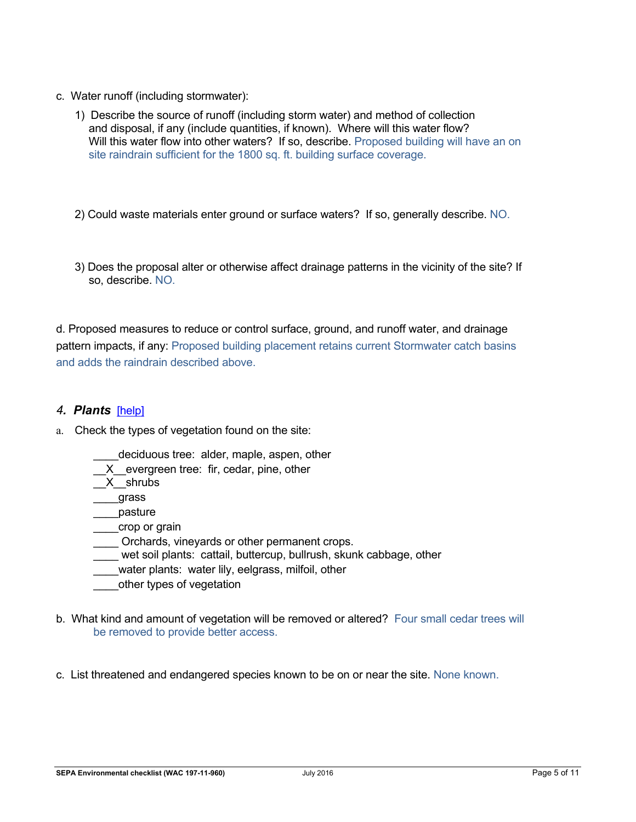- c. Water runoff (including stormwater):
	- 1) Describe the source of runoff (including storm water) and method of collection and disposal, if any (include quantities, if known). Where will this water flow? Will this water flow into other waters? If so, describe. Proposed building will have an on site raindrain sufficient for the 1800 sq. ft. building surface coverage.
	- 2) Could waste materials enter ground or surface waters? If so, generally describe. NO.
	- 3) Does the proposal alter or otherwise affect drainage patterns in the vicinity of the site? If so, describe. NO.

d. Proposed measures to reduce or control surface, ground, and runoff water, and drainage pattern impacts, if any: Proposed building placement retains current Stormwater catch basins and adds the raindrain described above.

#### *4. Plants*[help]

- a. Check the types of vegetation found on the site:
	- deciduous tree: alder, maple, aspen, other
	- X evergreen tree: fir, cedar, pine, other
	- \_\_X\_\_shrubs
	- \_\_\_\_grass
	- \_\_\_\_pasture
	- \_\_\_\_crop or grain
	- Orchards, vineyards or other permanent crops.
	- wet soil plants: cattail, buttercup, bullrush, skunk cabbage, other
	- water plants: water lily, eelgrass, milfoil, other
	- \_\_\_\_other types of vegetation
- b. What kind and amount of vegetation will be removed or altered? Four small cedar trees will be removed to provide better access.
- c. List threatened and endangered species known to be on or near the site. None known.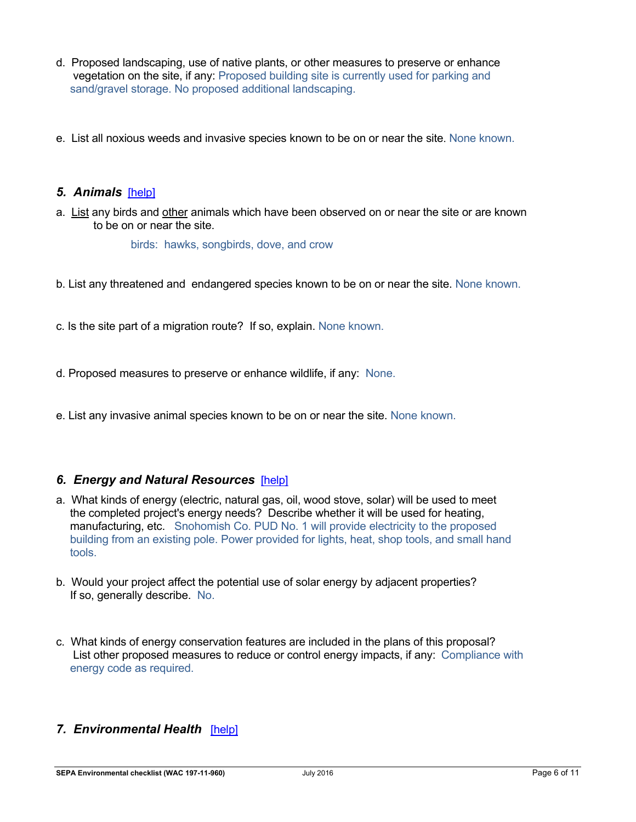- d. Proposed landscaping, use of native plants, or other measures to preserve or enhance vegetation on the site, if any: Proposed building site is currently used for parking and sand/gravel storage. No proposed additional landscaping.
- e. List all noxious weeds and invasive species known to be on or near the site. None known.

#### *5. Animals*[help]

a. List any birds and other animals which have been observed on or near the site or are known to be on or near the site.

birds: hawks, songbirds, dove, and crow

b. List any threatened and endangered species known to be on or near the site. None known.

c. Is the site part of a migration route? If so, explain. None known.

d. Proposed measures to preserve or enhance wildlife, if any: None.

e. List any invasive animal species known to be on or near the site. None known.

# *6. Energy and Natural Resources*[help]

- a. What kinds of energy (electric, natural gas, oil, wood stove, solar) will be used to meet the completed project's energy needs? Describe whether it will be used for heating, manufacturing, etc. Snohomish Co. PUD No. 1 will provide electricity to the proposed building from an existing pole. Power provided for lights, heat, shop tools, and small hand tools.
- b. Would your project affect the potential use of solar energy by adjacent properties? If so, generally describe. No.
- c. What kinds of energy conservation features are included in the plans of this proposal? List other proposed measures to reduce or control energy impacts, if any: Compliance with energy code as required.

# *7. Environmental Health*[help]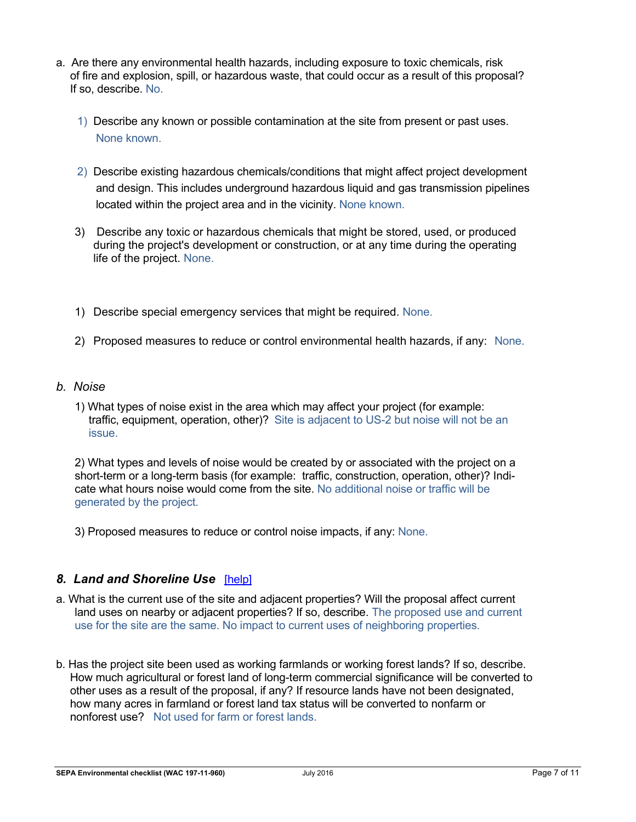- a. Are there any environmental health hazards, including exposure to toxic chemicals, risk of fire and explosion, spill, or hazardous waste, that could occur as a result of this proposal? If so, describe. No.
	- 1) Describe any known or possible contamination at the site from present or past uses. None known.
	- 2) Describe existing hazardous chemicals/conditions that might affect project development and design. This includes underground hazardous liquid and gas transmission pipelines located within the project area and in the vicinity. None known.
	- 3) Describe any toxic or hazardous chemicals that might be stored, used, or produced during the project's development or construction, or at any time during the operating life of the project. None.
	- 1) Describe special emergency services that might be required. None.
	- 2) Proposed measures to reduce or control environmental health hazards, if any: None.
- *b. Noise*
	- 1) What types of noise exist in the area which may affect your project (for example: traffic, equipment, operation, other)? Site is adjacent to US-2 but noise will not be an issue.

2) What types and levels of noise would be created by or associated with the project on a short-term or a long-term basis (for example: traffic, construction, operation, other)? Indicate what hours noise would come from the site. No additional noise or traffic will be generated by the project.

3) Proposed measures to reduce or control noise impacts, if any: None.

# *8. Land and Shoreline Use*[help]

- a. What is the current use of the site and adjacent properties? Will the proposal affect current land uses on nearby or adjacent properties? If so, describe. The proposed use and current use for the site are the same. No impact to current uses of neighboring properties.
- b. Has the project site been used as working farmlands or working forest lands? If so, describe. How much agricultural or forest land of long-term commercial significance will be converted to other uses as a result of the proposal, if any? If resource lands have not been designated, how many acres in farmland or forest land tax status will be converted to nonfarm or nonforest use? Not used for farm or forest lands.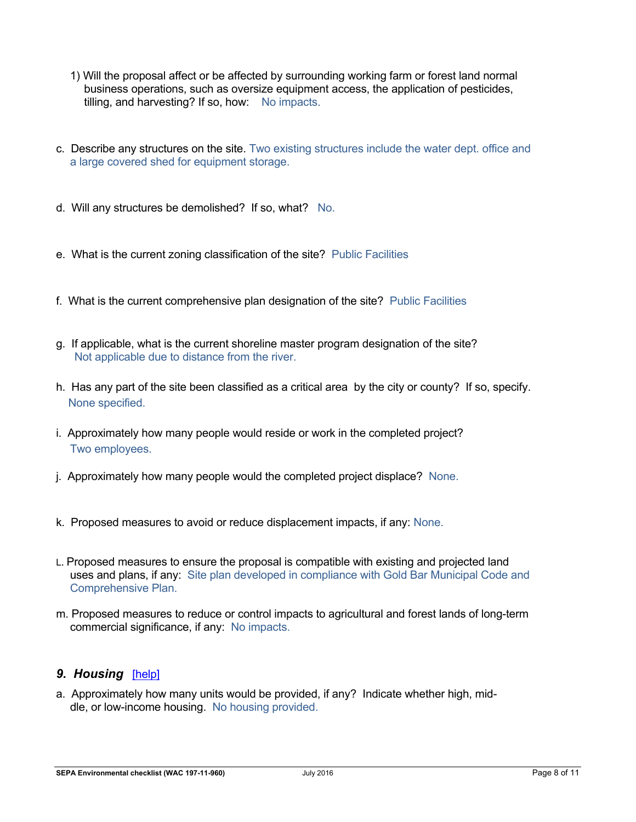- 1) Will the proposal affect or be affected by surrounding working farm or forest land normal business operations, such as oversize equipment access, the application of pesticides, tilling, and harvesting? If so, how: No impacts.
- c. Describe any structures on the site. Two existing structures include the water dept. office and a large covered shed for equipment storage.
- d. Will any structures be demolished? If so, what? No.
- e. What is the current zoning classification of the site? Public Facilities
- f. What is the current comprehensive plan designation of the site? Public Facilities
- g. If applicable, what is the current shoreline master program designation of the site? Not applicable due to distance from the river.
- h. Has any part of the site been classified as a critical area by the city or county? If so, specify. None specified.
- i. Approximately how many people would reside or work in the completed project? Two employees.
- j. Approximately how many people would the completed project displace? None.
- k. Proposed measures to avoid or reduce displacement impacts, if any: None.
- L. Proposed measures to ensure the proposal is compatible with existing and projected land uses and plans, if any: Site plan developed in compliance with Gold Bar Municipal Code and Comprehensive Plan.
- m. Proposed measures to reduce or control impacts to agricultural and forest lands of long-term commercial significance, if any: No impacts.

#### *9. Housing*[help]

a. Approximately how many units would be provided, if any? Indicate whether high, middle, or low-income housing. No housing provided.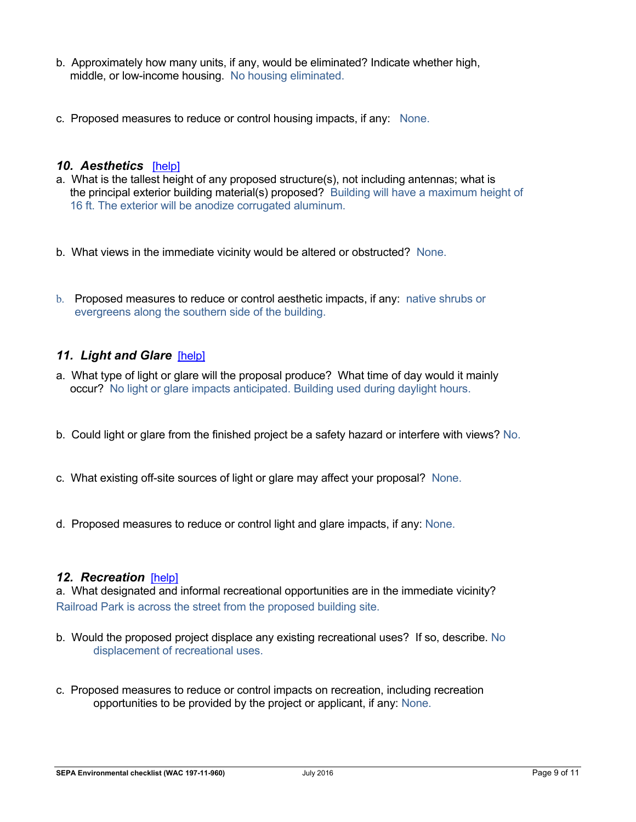- b. Approximately how many units, if any, would be eliminated? Indicate whether high, middle, or low-income housing. No housing eliminated.
- c. Proposed measures to reduce or control housing impacts, if any: None.

#### *10. Aesthetics*[help]

- a. What is the tallest height of any proposed structure(s), not including antennas; what is the principal exterior building material(s) proposed? Building will have a maximum height of 16 ft. The exterior will be anodize corrugated aluminum.
- b. What views in the immediate vicinity would be altered or obstructed? None.
- b. Proposed measures to reduce or control aesthetic impacts, if any: native shrubs or evergreens along the southern side of the building.

# *11. Light and Glare*[help]

- a. What type of light or glare will the proposal produce? What time of day would it mainly occur? No light or glare impacts anticipated. Building used during daylight hours.
- b. Could light or glare from the finished project be a safety hazard or interfere with views? No.
- c. What existing off-site sources of light or glare may affect your proposal? None.
- d. Proposed measures to reduce or control light and glare impacts, if any: None.

#### *12. Recreation*[help]

a. What designated and informal recreational opportunities are in the immediate vicinity? Railroad Park is across the street from the proposed building site.

- b. Would the proposed project displace any existing recreational uses? If so, describe. No displacement of recreational uses.
- c. Proposed measures to reduce or control impacts on recreation, including recreation opportunities to be provided by the project or applicant, if any: None.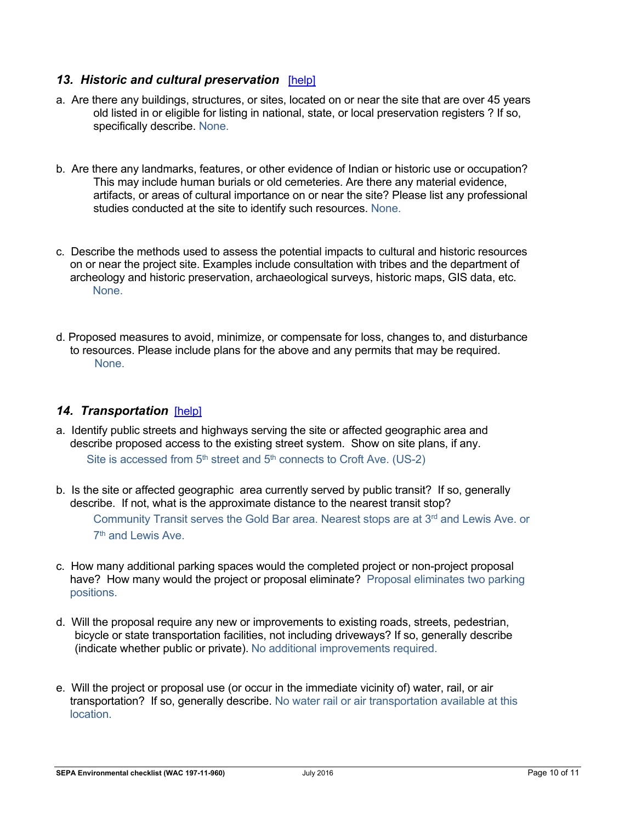# *13. Historic and cultural preservation*[help]

- a. Are there any buildings, structures, or sites, located on or near the site that are over 45 years old listed in or eligible for listing in national, state, or local preservation registers ? If so, specifically describe. None.
- b. Are there any landmarks, features, or other evidence of Indian or historic use or occupation? This may include human burials or old cemeteries. Are there any material evidence, artifacts, or areas of cultural importance on or near the site? Please list any professional studies conducted at the site to identify such resources. None.
- c. Describe the methods used to assess the potential impacts to cultural and historic resources on or near the project site. Examples include consultation with tribes and the department of archeology and historic preservation, archaeological surveys, historic maps, GIS data, etc. None.
- d. Proposed measures to avoid, minimize, or compensate for loss, changes to, and disturbance to resources. Please include plans for the above and any permits that may be required. None.

# 14. Transportation [help]

- a. Identify public streets and highways serving the site or affected geographic area and describe proposed access to the existing street system. Show on site plans, if any. Site is accessed from  $5<sup>th</sup>$  street and  $5<sup>th</sup>$  connects to Croft Ave. (US-2)
- b. Is the site or affected geographic area currently served by public transit? If so, generally describe. If not, what is the approximate distance to the nearest transit stop? Community Transit serves the Gold Bar area. Nearest stops are at  $3<sup>rd</sup>$  and Lewis Ave. or  $7<sup>th</sup>$  and Lewis Ave.
- c. How many additional parking spaces would the completed project or non-project proposal have? How many would the project or proposal eliminate? Proposal eliminates two parking positions.
- d. Will the proposal require any new or improvements to existing roads, streets, pedestrian, bicycle or state transportation facilities, not including driveways? If so, generally describe (indicate whether public or private). No additional improvements required.
- e. Will the project or proposal use (or occur in the immediate vicinity of) water, rail, or air transportation? If so, generally describe. No water rail or air transportation available at this location.